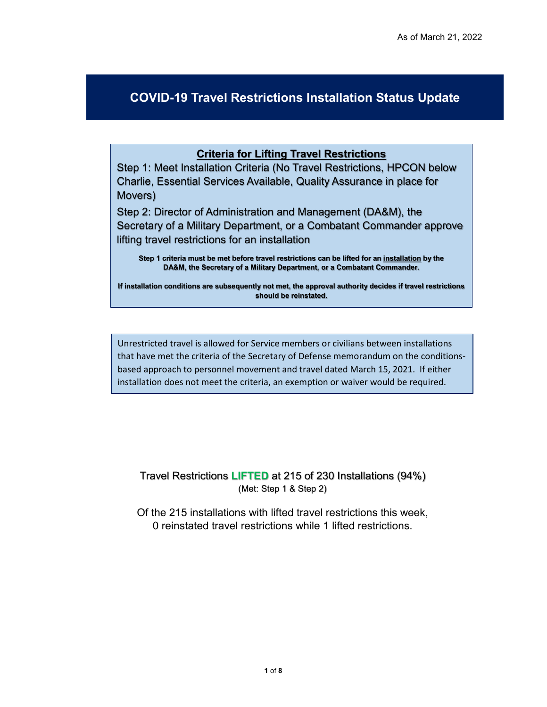## **COVID-19 Travel Restrictions Installation Status Update**

## **Criteria for Lifting Travel Restrictions**

Step 1: Meet Installation Criteria (No Travel Restrictions, HPCON below Charlie, Essential Services Available, Quality Assurance in place for Movers)

Step 2: Director of Administration and Management (DA&M), the Secretary of a Military Department, or a Combatant Commander approve lifting travel restrictions for an installation

**Step 1 criteria must be met before travel restrictions can be lifted for an installation by the DA&M, the Secretary of a Military Department, or a Combatant Commander.** 

**If installation conditions are subsequently not met, the approval authority decides if travel restrictions should be reinstated.** 

Unrestricted travel is allowed for Service members or civilians between installations that have met the criteria of the Secretary of Defense memorandum on the conditionsbased approach to personnel movement and travel dated March 15, 2021. If either installation does not meet the criteria, an exemption or waiver would be required.

Travel Restrictions **LIFTED** at 215 of 230 Installations (94%) (Met: Step 1 & Step 2)

Of the 215 installations with lifted travel restrictions this week, 0 reinstated travel restrictions while 1 lifted restrictions.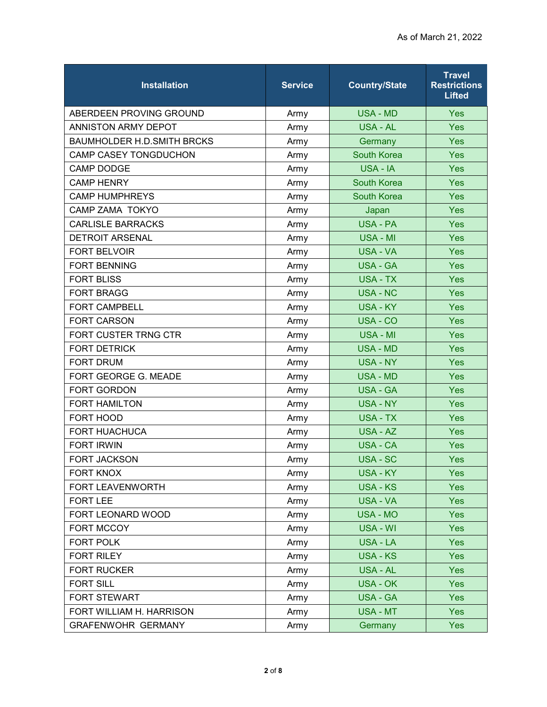| <b>Installation</b>               | <b>Service</b> | <b>Country/State</b> | <b>Travel</b><br><b>Restrictions</b><br><b>Lifted</b> |
|-----------------------------------|----------------|----------------------|-------------------------------------------------------|
| ABERDEEN PROVING GROUND           | Army           | <b>USA - MD</b>      | <b>Yes</b>                                            |
| <b>ANNISTON ARMY DEPOT</b>        | Army           | <b>USA - AL</b>      | Yes                                                   |
| <b>BAUMHOLDER H.D.SMITH BRCKS</b> | Army           | Germany              | Yes                                                   |
| <b>CAMP CASEY TONGDUCHON</b>      | Army           | <b>South Korea</b>   | <b>Yes</b>                                            |
| <b>CAMP DODGE</b>                 | Army           | USA - IA             | Yes                                                   |
| <b>CAMP HENRY</b>                 | Army           | South Korea          | Yes                                                   |
| <b>CAMP HUMPHREYS</b>             | Army           | South Korea          | Yes                                                   |
| <b>CAMP ZAMA TOKYO</b>            | Army           | Japan                | <b>Yes</b>                                            |
| <b>CARLISLE BARRACKS</b>          | Army           | <b>USA - PA</b>      | Yes                                                   |
| <b>DETROIT ARSENAL</b>            | Army           | USA - MI             | Yes                                                   |
| <b>FORT BELVOIR</b>               | Army           | <b>USA - VA</b>      | <b>Yes</b>                                            |
| <b>FORT BENNING</b>               | Army           | <b>USA - GA</b>      | Yes                                                   |
| <b>FORT BLISS</b>                 | Army           | <b>USA - TX</b>      | Yes                                                   |
| <b>FORT BRAGG</b>                 | Army           | <b>USA - NC</b>      | Yes                                                   |
| <b>FORT CAMPBELL</b>              | Army           | <b>USA - KY</b>      | Yes                                                   |
| <b>FORT CARSON</b>                | Army           | USA - CO             | Yes                                                   |
| FORT CUSTER TRNG CTR              | Army           | <b>USA - MI</b>      | Yes                                                   |
| <b>FORT DETRICK</b>               | Army           | <b>USA - MD</b>      | Yes                                                   |
| <b>FORT DRUM</b>                  | Army           | <b>USA - NY</b>      | Yes                                                   |
| FORT GEORGE G. MEADE              | Army           | <b>USA - MD</b>      | <b>Yes</b>                                            |
| <b>FORT GORDON</b>                | Army           | <b>USA - GA</b>      | Yes                                                   |
| <b>FORT HAMILTON</b>              | Army           | <b>USA - NY</b>      | Yes                                                   |
| FORT HOOD                         | Army           | <b>USA - TX</b>      | <b>Yes</b>                                            |
| <b>FORT HUACHUCA</b>              | Army           | USA - AZ             | Yes                                                   |
| <b>FORT IRWIN</b>                 | Army           | <b>USA - CA</b>      | Yes                                                   |
| <b>FORT JACKSON</b>               | Army           | USA - SC             | <b>Yes</b>                                            |
| <b>FORT KNOX</b>                  | Army           | <b>USA - KY</b>      | Yes                                                   |
| FORT LEAVENWORTH                  | Army           | <b>USA - KS</b>      | <b>Yes</b>                                            |
| <b>FORT LEE</b>                   | Army           | USA - VA             | <b>Yes</b>                                            |
| FORT LEONARD WOOD                 | Army           | <b>USA - MO</b>      | <b>Yes</b>                                            |
| FORT MCCOY                        | Army           | USA - WI             | <b>Yes</b>                                            |
| FORT POLK                         | Army           | USA - LA             | <b>Yes</b>                                            |
| <b>FORT RILEY</b>                 | Army           | <b>USA - KS</b>      | <b>Yes</b>                                            |
| <b>FORT RUCKER</b>                | Army           | USA - AL             | <b>Yes</b>                                            |
| <b>FORT SILL</b>                  | Army           | <b>USA - OK</b>      | <b>Yes</b>                                            |
| <b>FORT STEWART</b>               | Army           | <b>USA - GA</b>      | Yes                                                   |
| FORT WILLIAM H. HARRISON          | Army           | <b>USA - MT</b>      | <b>Yes</b>                                            |
| <b>GRAFENWOHR GERMANY</b>         | Army           | Germany              | <b>Yes</b>                                            |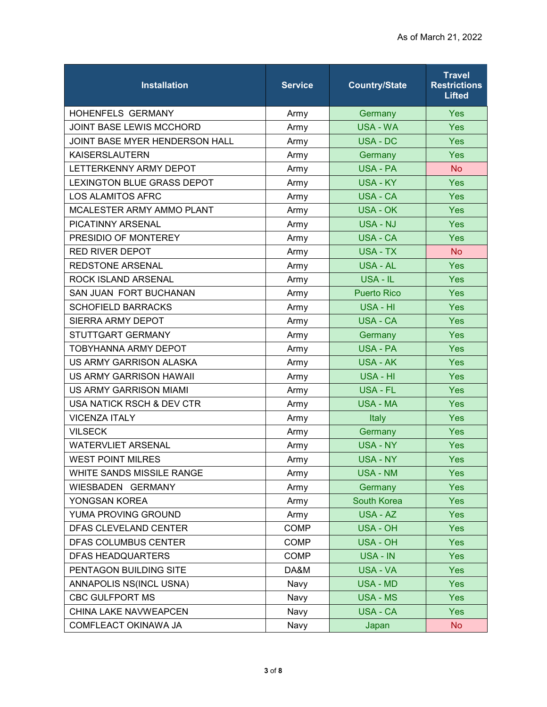| <b>Installation</b>               | <b>Service</b> | <b>Country/State</b> | <b>Travel</b><br><b>Restrictions</b><br>Lifted |
|-----------------------------------|----------------|----------------------|------------------------------------------------|
| <b>HOHENFELS GERMANY</b>          | Army           | Germany              | <b>Yes</b>                                     |
| JOINT BASE LEWIS MCCHORD          | Army           | <b>USA - WA</b>      | Yes                                            |
| JOINT BASE MYER HENDERSON HALL    | Army           | USA - DC             | <b>Yes</b>                                     |
| <b>KAISERSLAUTERN</b>             | Army           | Germany              | Yes                                            |
| LETTERKENNY ARMY DEPOT            | Army           | USA - PA             | <b>No</b>                                      |
| <b>LEXINGTON BLUE GRASS DEPOT</b> | Army           | <b>USA - KY</b>      | Yes                                            |
| <b>LOS ALAMITOS AFRC</b>          | Army           | <b>USA - CA</b>      | Yes                                            |
| MCALESTER ARMY AMMO PLANT         | Army           | USA - OK             | <b>Yes</b>                                     |
| <b>PICATINNY ARSENAL</b>          | Army           | USA - NJ             | Yes                                            |
| PRESIDIO OF MONTEREY              | Army           | <b>USA - CA</b>      | Yes                                            |
| <b>RED RIVER DEPOT</b>            | Army           | <b>USA - TX</b>      | <b>No</b>                                      |
| <b>REDSTONE ARSENAL</b>           | Army           | USA - AL             | Yes                                            |
| ROCK ISLAND ARSENAL               | Army           | USA - IL             | Yes                                            |
| SAN JUAN FORT BUCHANAN            | Army           | <b>Puerto Rico</b>   | Yes                                            |
| <b>SCHOFIELD BARRACKS</b>         | Army           | USA - HI             | <b>Yes</b>                                     |
| <b>SIERRA ARMY DEPOT</b>          | Army           | <b>USA - CA</b>      | Yes                                            |
| STUTTGART GERMANY                 | Army           | Germany              | Yes                                            |
| <b>TOBYHANNA ARMY DEPOT</b>       | Army           | <b>USA - PA</b>      | <b>Yes</b>                                     |
| US ARMY GARRISON ALASKA           | Army           | USA - AK             | Yes                                            |
| <b>US ARMY GARRISON HAWAII</b>    | Army           | USA - HI             | <b>Yes</b>                                     |
| US ARMY GARRISON MIAMI            | Army           | <b>USA - FL</b>      | Yes                                            |
| USA NATICK RSCH & DEV CTR         | Army           | <b>USA - MA</b>      | <b>Yes</b>                                     |
| <b>VICENZA ITALY</b>              | Army           | Italy                | Yes                                            |
| <b>VILSECK</b>                    | Army           | Germany              | Yes                                            |
| <b>WATERVLIET ARSENAL</b>         | Army           | <b>USA - NY</b>      | <b>Yes</b>                                     |
| <b>WEST POINT MILRES</b>          | Army           | <b>USA - NY</b>      | <b>Yes</b>                                     |
| WHITE SANDS MISSILE RANGE         | Army           | <b>USA - NM</b>      | <b>Yes</b>                                     |
| WIESBADEN GERMANY                 | Army           | Germany              | <b>Yes</b>                                     |
| YONGSAN KOREA                     | Army           | <b>South Korea</b>   | <b>Yes</b>                                     |
| YUMA PROVING GROUND               | Army           | USA - AZ             | <b>Yes</b>                                     |
| DFAS CLEVELAND CENTER             | COMP           | <b>USA - OH</b>      | Yes                                            |
| DFAS COLUMBUS CENTER              | COMP           | <b>USA - OH</b>      | <b>Yes</b>                                     |
| <b>DFAS HEADQUARTERS</b>          | <b>COMP</b>    | USA - IN             | <b>Yes</b>                                     |
| PENTAGON BUILDING SITE            | DA&M           | USA - VA             | <b>Yes</b>                                     |
| ANNAPOLIS NS(INCL USNA)           | Navy           | USA - MD             | <b>Yes</b>                                     |
| <b>CBC GULFPORT MS</b>            | Navy           | USA - MS             | <b>Yes</b>                                     |
| CHINA LAKE NAVWEAPCEN             | Navy           | <b>USA - CA</b>      | <b>Yes</b>                                     |
| COMFLEACT OKINAWA JA              | Navy           | Japan                | <b>No</b>                                      |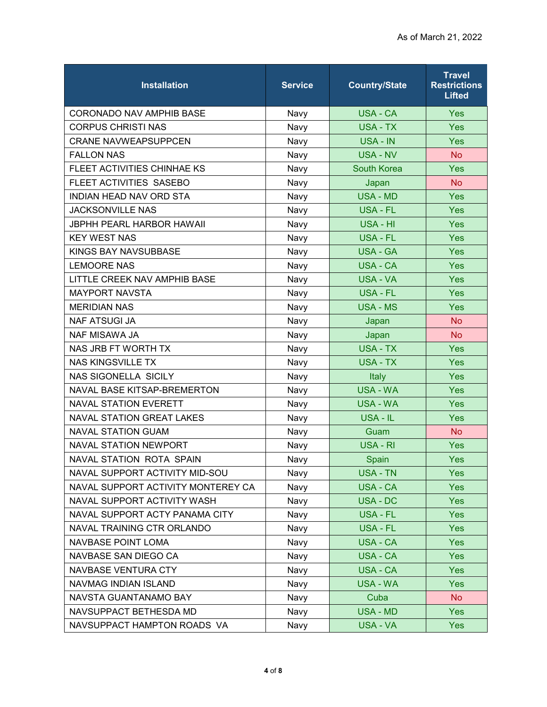| <b>Installation</b>                | <b>Service</b> | <b>Country/State</b> | <b>Travel</b><br><b>Restrictions</b><br><b>Lifted</b> |
|------------------------------------|----------------|----------------------|-------------------------------------------------------|
| <b>CORONADO NAV AMPHIB BASE</b>    | Navy           | USA - CA             | <b>Yes</b>                                            |
| <b>CORPUS CHRISTI NAS</b>          | Navy           | <b>USA - TX</b>      | Yes                                                   |
| <b>CRANE NAVWEAPSUPPCEN</b>        | Navy           | USA - IN             | Yes                                                   |
| <b>FALLON NAS</b>                  | Navy           | <b>USA - NV</b>      | <b>No</b>                                             |
| FLEET ACTIVITIES CHINHAE KS        | Navy           | South Korea          | Yes                                                   |
| FLEET ACTIVITIES SASEBO            | Navy           | Japan                | <b>No</b>                                             |
| <b>INDIAN HEAD NAV ORD STA</b>     | Navy           | <b>USA - MD</b>      | Yes                                                   |
| <b>JACKSONVILLE NAS</b>            | Navy           | USA - FL             | <b>Yes</b>                                            |
| <b>JBPHH PEARL HARBOR HAWAII</b>   | Navy           | USA - HI             | Yes                                                   |
| <b>KEY WEST NAS</b>                | Navy           | USA - FL             | Yes                                                   |
| <b>KINGS BAY NAVSUBBASE</b>        | Navy           | <b>USA - GA</b>      | Yes                                                   |
| <b>LEMOORE NAS</b>                 | Navy           | <b>USA - CA</b>      | Yes                                                   |
| LITTLE CREEK NAV AMPHIB BASE       | Navy           | <b>USA - VA</b>      | Yes                                                   |
| <b>MAYPORT NAVSTA</b>              | Navy           | <b>USA - FL</b>      | Yes                                                   |
| <b>MERIDIAN NAS</b>                | Navy           | <b>USA - MS</b>      | <b>Yes</b>                                            |
| <b>NAF ATSUGI JA</b>               | Navy           | Japan                | <b>No</b>                                             |
| <b>NAF MISAWA JA</b>               | Navy           | Japan                | <b>No</b>                                             |
| NAS JRB FT WORTH TX                | Navy           | <b>USA - TX</b>      | Yes                                                   |
| <b>NAS KINGSVILLE TX</b>           | Navy           | <b>USA - TX</b>      | Yes                                                   |
| <b>NAS SIGONELLA SICILY</b>        | Navy           | Italy                | Yes                                                   |
| NAVAL BASE KITSAP-BREMERTON        | Navy           | <b>USA - WA</b>      | Yes                                                   |
| <b>NAVAL STATION EVERETT</b>       | Navy           | <b>USA - WA</b>      | Yes                                                   |
| <b>NAVAL STATION GREAT LAKES</b>   | Navy           | USA - IL             | Yes                                                   |
| <b>NAVAL STATION GUAM</b>          | Navy           | Guam                 | <b>No</b>                                             |
| <b>NAVAL STATION NEWPORT</b>       | Navy           | USA - RI             | Yes                                                   |
| NAVAL STATION ROTA SPAIN           | Navy           | Spain                | Yes                                                   |
| NAVAL SUPPORT ACTIVITY MID-SOU     | Navy           | <b>USA - TN</b>      | <b>Yes</b>                                            |
| NAVAL SUPPORT ACTIVITY MONTEREY CA | Navy           | USA - CA             | <b>Yes</b>                                            |
| NAVAL SUPPORT ACTIVITY WASH        | Navy           | USA - DC             | <b>Yes</b>                                            |
| NAVAL SUPPORT ACTY PANAMA CITY     | Navy           | USA - FL             | <b>Yes</b>                                            |
| NAVAL TRAINING CTR ORLANDO         | Navy           | USA - FL             | <b>Yes</b>                                            |
| <b>NAVBASE POINT LOMA</b>          | Navy           | <b>USA - CA</b>      | <b>Yes</b>                                            |
| NAVBASE SAN DIEGO CA               | Navy           | <b>USA - CA</b>      | <b>Yes</b>                                            |
| NAVBASE VENTURA CTY                | Navy           | <b>USA - CA</b>      | <b>Yes</b>                                            |
| NAVMAG INDIAN ISLAND               | Navy           | <b>USA - WA</b>      | <b>Yes</b>                                            |
| NAVSTA GUANTANAMO BAY              | Navy           | Cuba                 | <b>No</b>                                             |
| NAVSUPPACT BETHESDA MD             | Navy           | <b>USA - MD</b>      | <b>Yes</b>                                            |
| NAVSUPPACT HAMPTON ROADS VA        | Navy           | <b>USA - VA</b>      | <b>Yes</b>                                            |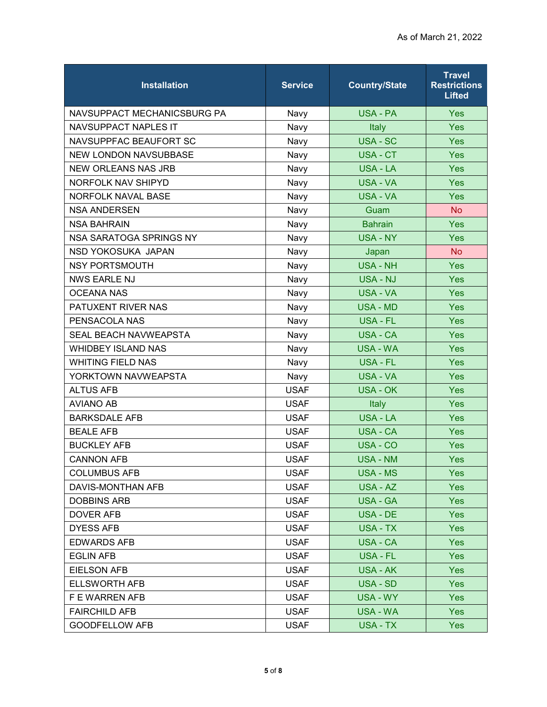| <b>Installation</b>          | <b>Service</b> | <b>Country/State</b> | <b>Travel</b><br><b>Restrictions</b><br><b>Lifted</b> |
|------------------------------|----------------|----------------------|-------------------------------------------------------|
| NAVSUPPACT MECHANICSBURG PA  | Navy           | USA - PA             | <b>Yes</b>                                            |
| <b>NAVSUPPACT NAPLES IT</b>  | Navy           | Italy                | Yes                                                   |
| NAVSUPPFAC BEAUFORT SC       | Navy           | <b>USA - SC</b>      | Yes                                                   |
| <b>NEW LONDON NAVSUBBASE</b> | Navy           | USA - CT             | Yes                                                   |
| <b>NEW ORLEANS NAS JRB</b>   | Navy           | <b>USA - LA</b>      | Yes                                                   |
| NORFOLK NAV SHIPYD           | Navy           | <b>USA - VA</b>      | Yes                                                   |
| <b>NORFOLK NAVAL BASE</b>    | Navy           | <b>USA - VA</b>      | Yes                                                   |
| <b>NSA ANDERSEN</b>          | Navy           | Guam                 | <b>No</b>                                             |
| <b>NSA BAHRAIN</b>           | Navy           | <b>Bahrain</b>       | Yes                                                   |
| NSA SARATOGA SPRINGS NY      | Navy           | <b>USA - NY</b>      | Yes                                                   |
| NSD YOKOSUKA JAPAN           | Navy           | Japan                | <b>No</b>                                             |
| <b>NSY PORTSMOUTH</b>        | Navy           | <b>USA - NH</b>      | Yes                                                   |
| <b>NWS EARLE NJ</b>          | Navy           | <b>USA - NJ</b>      | <b>Yes</b>                                            |
| <b>OCEANA NAS</b>            | Navy           | <b>USA - VA</b>      | Yes                                                   |
| PATUXENT RIVER NAS           | Navy           | <b>USA - MD</b>      | <b>Yes</b>                                            |
| PENSACOLA NAS                | Navy           | USA - FL             | Yes                                                   |
| <b>SEAL BEACH NAVWEAPSTA</b> | Navy           | <b>USA - CA</b>      | Yes                                                   |
| <b>WHIDBEY ISLAND NAS</b>    | Navy           | USA - WA             | Yes                                                   |
| <b>WHITING FIELD NAS</b>     | Navy           | <b>USA - FL</b>      | Yes                                                   |
| YORKTOWN NAVWEAPSTA          | Navy           | USA - VA             | Yes                                                   |
| <b>ALTUS AFB</b>             | <b>USAF</b>    | <b>USA - OK</b>      | Yes                                                   |
| <b>AVIANO AB</b>             | <b>USAF</b>    | Italy                | Yes                                                   |
| <b>BARKSDALE AFB</b>         | <b>USAF</b>    | USA - LA             | Yes                                                   |
| <b>BEALE AFB</b>             | <b>USAF</b>    | <b>USA - CA</b>      | Yes                                                   |
| <b>BUCKLEY AFB</b>           | <b>USAF</b>    | USA - CO             | <b>Yes</b>                                            |
| <b>CANNON AFB</b>            | <b>USAF</b>    | <b>USA - NM</b>      | <b>Yes</b>                                            |
| <b>COLUMBUS AFB</b>          | <b>USAF</b>    | USA - MS             | <b>Yes</b>                                            |
| DAVIS-MONTHAN AFB            | <b>USAF</b>    | USA - AZ             | <b>Yes</b>                                            |
| <b>DOBBINS ARB</b>           | <b>USAF</b>    | <b>USA - GA</b>      | <b>Yes</b>                                            |
| <b>DOVER AFB</b>             | <b>USAF</b>    | USA - DE             | <b>Yes</b>                                            |
| <b>DYESS AFB</b>             | <b>USAF</b>    | USA - TX             | <b>Yes</b>                                            |
| <b>EDWARDS AFB</b>           | <b>USAF</b>    | USA - CA             | <b>Yes</b>                                            |
| <b>EGLIN AFB</b>             | <b>USAF</b>    | USA - FL             | <b>Yes</b>                                            |
| <b>EIELSON AFB</b>           | <b>USAF</b>    | USA - AK             | <b>Yes</b>                                            |
| <b>ELLSWORTH AFB</b>         | <b>USAF</b>    | <b>USA - SD</b>      | <b>Yes</b>                                            |
| F E WARREN AFB               | <b>USAF</b>    | USA - WY             | <b>Yes</b>                                            |
| <b>FAIRCHILD AFB</b>         | <b>USAF</b>    | USA - WA             | <b>Yes</b>                                            |
| <b>GOODFELLOW AFB</b>        | <b>USAF</b>    | USA - TX             | <b>Yes</b>                                            |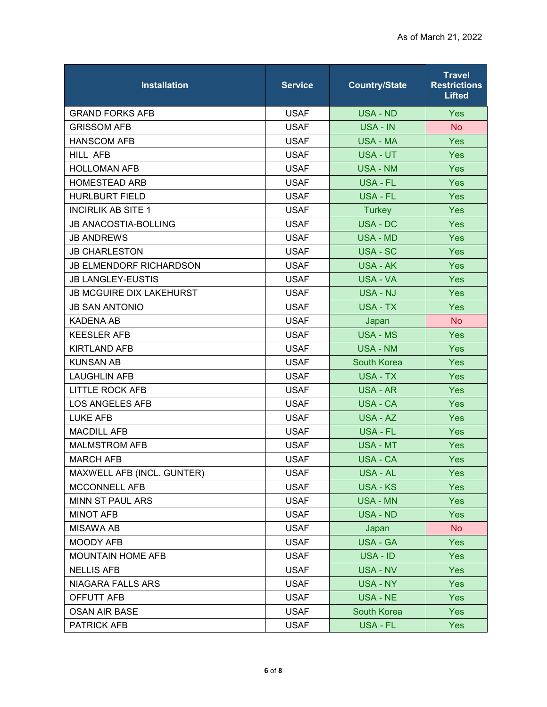| <b>Installation</b>             | <b>Service</b> | <b>Country/State</b> | <b>Travel</b><br><b>Restrictions</b><br><b>Lifted</b> |
|---------------------------------|----------------|----------------------|-------------------------------------------------------|
| <b>GRAND FORKS AFB</b>          | <b>USAF</b>    | <b>USA - ND</b>      | <b>Yes</b>                                            |
| <b>GRISSOM AFB</b>              | <b>USAF</b>    | USA - IN             | <b>No</b>                                             |
| <b>HANSCOM AFB</b>              | <b>USAF</b>    | <b>USA - MA</b>      | Yes                                                   |
| HILL AFB                        | <b>USAF</b>    | <b>USA - UT</b>      | <b>Yes</b>                                            |
| <b>HOLLOMAN AFB</b>             | <b>USAF</b>    | <b>USA - NM</b>      | <b>Yes</b>                                            |
| <b>HOMESTEAD ARB</b>            | <b>USAF</b>    | <b>USA - FL</b>      | Yes                                                   |
| <b>HURLBURT FIELD</b>           | <b>USAF</b>    | <b>USA - FL</b>      | Yes                                                   |
| <b>INCIRLIK AB SITE 1</b>       | <b>USAF</b>    | <b>Turkey</b>        | <b>Yes</b>                                            |
| <b>JB ANACOSTIA-BOLLING</b>     | <b>USAF</b>    | <b>USA - DC</b>      | Yes                                                   |
| <b>JB ANDREWS</b>               | <b>USAF</b>    | USA - MD             | Yes                                                   |
| <b>JB CHARLESTON</b>            | <b>USAF</b>    | USA - SC             | <b>Yes</b>                                            |
| <b>JB ELMENDORF RICHARDSON</b>  | <b>USAF</b>    | <b>USA - AK</b>      | Yes                                                   |
| <b>JB LANGLEY-EUSTIS</b>        | <b>USAF</b>    | <b>USA - VA</b>      | Yes                                                   |
| <b>JB MCGUIRE DIX LAKEHURST</b> | <b>USAF</b>    | <b>USA - NJ</b>      | <b>Yes</b>                                            |
| <b>JB SAN ANTONIO</b>           | <b>USAF</b>    | <b>USA - TX</b>      | Yes                                                   |
| <b>KADENA AB</b>                | <b>USAF</b>    | Japan                | <b>No</b>                                             |
| <b>KEESLER AFB</b>              | <b>USAF</b>    | <b>USA - MS</b>      | Yes                                                   |
| <b>KIRTLAND AFB</b>             | <b>USAF</b>    | <b>USA - NM</b>      | Yes                                                   |
| <b>KUNSAN AB</b>                | <b>USAF</b>    | <b>South Korea</b>   | Yes                                                   |
| <b>LAUGHLIN AFB</b>             | <b>USAF</b>    | <b>USA - TX</b>      | <b>Yes</b>                                            |
| <b>LITTLE ROCK AFB</b>          | <b>USAF</b>    | <b>USA - AR</b>      | <b>Yes</b>                                            |
| <b>LOS ANGELES AFB</b>          | <b>USAF</b>    | <b>USA - CA</b>      | Yes                                                   |
| <b>LUKE AFB</b>                 | <b>USAF</b>    | USA - AZ             | <b>Yes</b>                                            |
| <b>MACDILL AFB</b>              | <b>USAF</b>    | <b>USA - FL</b>      | Yes                                                   |
| <b>MALMSTROM AFB</b>            | <b>USAF</b>    | <b>USA - MT</b>      | Yes                                                   |
| <b>MARCH AFB</b>                | <b>USAF</b>    | <b>USA - CA</b>      | <b>Yes</b>                                            |
| MAXWELL AFB (INCL. GUNTER)      | <b>USAF</b>    | USA - AL             | <b>Yes</b>                                            |
| MCCONNELL AFB                   | <b>USAF</b>    | <b>USA - KS</b>      | <b>Yes</b>                                            |
| <b>MINN ST PAUL ARS</b>         | <b>USAF</b>    | <b>USA - MN</b>      | <b>Yes</b>                                            |
| <b>MINOT AFB</b>                | <b>USAF</b>    | <b>USA - ND</b>      | <b>Yes</b>                                            |
| <b>MISAWA AB</b>                | <b>USAF</b>    | Japan                | <b>No</b>                                             |
| MOODY AFB                       | <b>USAF</b>    | USA - GA             | <b>Yes</b>                                            |
| <b>MOUNTAIN HOME AFB</b>        | <b>USAF</b>    | USA - ID             | <b>Yes</b>                                            |
| <b>NELLIS AFB</b>               | <b>USAF</b>    | <b>USA - NV</b>      | <b>Yes</b>                                            |
| NIAGARA FALLS ARS               | <b>USAF</b>    | <b>USA - NY</b>      | <b>Yes</b>                                            |
| OFFUTT AFB                      | <b>USAF</b>    | USA - NE             | Yes                                                   |
| <b>OSAN AIR BASE</b>            | <b>USAF</b>    | South Korea          | <b>Yes</b>                                            |
| PATRICK AFB                     | <b>USAF</b>    | USA - FL             | <b>Yes</b>                                            |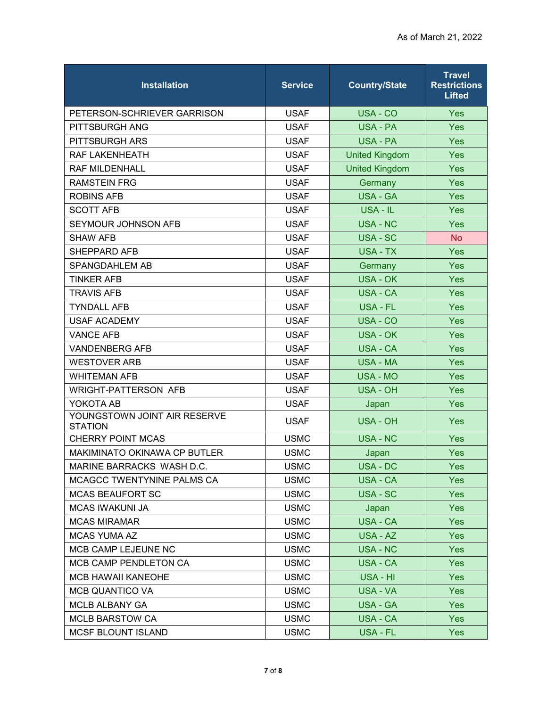| <b>Installation</b>                            | <b>Service</b> | <b>Country/State</b>  | <b>Travel</b><br><b>Restrictions</b><br><b>Lifted</b> |
|------------------------------------------------|----------------|-----------------------|-------------------------------------------------------|
| PETERSON-SCHRIEVER GARRISON                    | <b>USAF</b>    | USA - CO              | Yes                                                   |
| PITTSBURGH ANG                                 | <b>USAF</b>    | <b>USA - PA</b>       | Yes                                                   |
| PITTSBURGH ARS                                 | <b>USAF</b>    | USA - PA              | <b>Yes</b>                                            |
| RAF LAKENHEATH                                 | <b>USAF</b>    | <b>United Kingdom</b> | Yes                                                   |
| <b>RAF MILDENHALL</b>                          | <b>USAF</b>    | <b>United Kingdom</b> | Yes                                                   |
| <b>RAMSTEIN FRG</b>                            | <b>USAF</b>    | Germany               | Yes                                                   |
| <b>ROBINS AFB</b>                              | <b>USAF</b>    | <b>USA - GA</b>       | Yes                                                   |
| <b>SCOTT AFB</b>                               | <b>USAF</b>    | USA - IL              | Yes                                                   |
| SEYMOUR JOHNSON AFB                            | <b>USAF</b>    | <b>USA - NC</b>       | Yes                                                   |
| <b>SHAW AFB</b>                                | <b>USAF</b>    | USA - SC              | <b>No</b>                                             |
| SHEPPARD AFB                                   | <b>USAF</b>    | <b>USA - TX</b>       | Yes                                                   |
| SPANGDAHLEM AB                                 | <b>USAF</b>    | Germany               | Yes                                                   |
| <b>TINKER AFB</b>                              | <b>USAF</b>    | <b>USA - OK</b>       | Yes                                                   |
| <b>TRAVIS AFB</b>                              | <b>USAF</b>    | <b>USA - CA</b>       | Yes                                                   |
| <b>TYNDALL AFB</b>                             | <b>USAF</b>    | USA - FL              | <b>Yes</b>                                            |
| <b>USAF ACADEMY</b>                            | <b>USAF</b>    | USA - CO              | Yes                                                   |
| <b>VANCE AFB</b>                               | <b>USAF</b>    | <b>USA - OK</b>       | Yes                                                   |
| <b>VANDENBERG AFB</b>                          | <b>USAF</b>    | <b>USA - CA</b>       | <b>Yes</b>                                            |
| <b>WESTOVER ARB</b>                            | <b>USAF</b>    | <b>USA - MA</b>       | Yes                                                   |
| <b>WHITEMAN AFB</b>                            | <b>USAF</b>    | <b>USA - MO</b>       | Yes                                                   |
| WRIGHT-PATTERSON AFB                           | <b>USAF</b>    | <b>USA - OH</b>       | Yes                                                   |
| YOKOTA AB                                      | <b>USAF</b>    | Japan                 | Yes                                                   |
| YOUNGSTOWN JOINT AIR RESERVE<br><b>STATION</b> | <b>USAF</b>    | USA - OH              | Yes                                                   |
| <b>CHERRY POINT MCAS</b>                       | <b>USMC</b>    | <b>USA - NC</b>       | Yes                                                   |
| MAKIMINATO OKINAWA CP BUTLER                   | <b>USMC</b>    | Japan                 | Yes                                                   |
| MARINE BARRACKS WASH D.C.                      | <b>USMC</b>    | USA - DC              | Yes                                                   |
| MCAGCC TWENTYNINE PALMS CA                     | <b>USMC</b>    | <b>USA - CA</b>       | <b>Yes</b>                                            |
| <b>MCAS BEAUFORT SC</b>                        | <b>USMC</b>    | USA - SC              | <b>Yes</b>                                            |
| <b>MCAS IWAKUNI JA</b>                         | <b>USMC</b>    | Japan                 | <b>Yes</b>                                            |
| <b>MCAS MIRAMAR</b>                            | <b>USMC</b>    | USA - CA              | <b>Yes</b>                                            |
| <b>MCAS YUMA AZ</b>                            | <b>USMC</b>    | USA - AZ              | <b>Yes</b>                                            |
| MCB CAMP LEJEUNE NC                            | <b>USMC</b>    | USA - NC              | <b>Yes</b>                                            |
| MCB CAMP PENDLETON CA                          | <b>USMC</b>    | <b>USA - CA</b>       | <b>Yes</b>                                            |
| <b>MCB HAWAII KANEOHE</b>                      | <b>USMC</b>    | USA - HI              | Yes                                                   |
| <b>MCB QUANTICO VA</b>                         | <b>USMC</b>    | USA - VA              | <b>Yes</b>                                            |
| <b>MCLB ALBANY GA</b>                          | <b>USMC</b>    | USA - GA              | <b>Yes</b>                                            |
| <b>MCLB BARSTOW CA</b>                         | <b>USMC</b>    | USA - CA              | <b>Yes</b>                                            |
| MCSF BLOUNT ISLAND                             | <b>USMC</b>    | USA - FL              | <b>Yes</b>                                            |